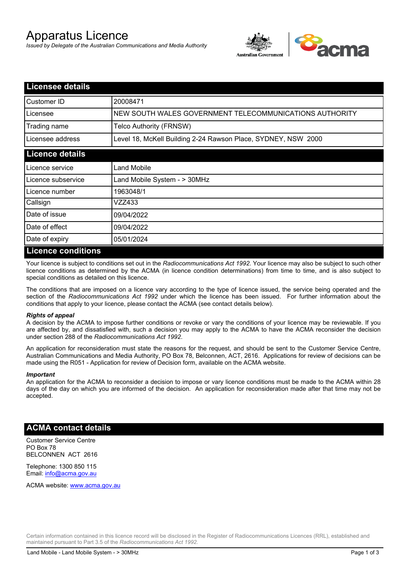# Apparatus Licence

*Issued by Delegate of the Australian Communications and Media Authority*



| <b>Licensee details</b> |                                                               |
|-------------------------|---------------------------------------------------------------|
| Customer ID             | 20008471                                                      |
| Licensee                | NEW SOUTH WALES GOVERNMENT TELECOMMUNICATIONS AUTHORITY       |
| Trading name            | Telco Authority (FRNSW)                                       |
| Licensee address        | Level 18, McKell Building 2-24 Rawson Place, SYDNEY, NSW 2000 |
| <b>Licence details</b>  |                                                               |
| Licence service         | Land Mobile                                                   |
| Licence subservice      | Land Mobile System - > 30MHz                                  |
| Licence number          | 1963048/1                                                     |
| Callsign                | VZZ433                                                        |
| Date of issue           | 09/04/2022                                                    |
| Date of effect          | 09/04/2022                                                    |
| Date of expiry          | 05/01/2024                                                    |
| Licence conditions      |                                                               |

## **Licence conditions**

Your licence is subject to conditions set out in the *Radiocommunications Act 1992*. Your licence may also be subject to such other licence conditions as determined by the ACMA (in licence condition determinations) from time to time, and is also subject to special conditions as detailed on this licence.

The conditions that are imposed on a licence vary according to the type of licence issued, the service being operated and the section of the *Radiocommunications Act 1992* under which the licence has been issued. For further information about the conditions that apply to your licence, please contact the ACMA (see contact details below).

#### *Rights of appeal*

A decision by the ACMA to impose further conditions or revoke or vary the conditions of your licence may be reviewable. If you are affected by, and dissatisfied with, such a decision you may apply to the ACMA to have the ACMA reconsider the decision under section 288 of the *Radiocommunications Act 1992*.

An application for reconsideration must state the reasons for the request, and should be sent to the Customer Service Centre, Australian Communications and Media Authority, PO Box 78, Belconnen, ACT, 2616. Applications for review of decisions can be made using the R051 - Application for review of Decision form, available on the ACMA website.

#### *Important*

An application for the ACMA to reconsider a decision to impose or vary licence conditions must be made to the ACMA within 28 days of the day on which you are informed of the decision. An application for reconsideration made after that time may not be accepted.

### **ACMA contact details**

Customer Service Centre PO Box 78 BELCONNEN ACT 2616

Telephone: 1300 850 115 Email: info@acma.gov.au

ACMA website: www.acma.gov.au

Certain information contained in this licence record will be disclosed in the Register of Radiocommunications Licences (RRL), established and maintained pursuant to Part 3.5 of the *Radiocommunications Act 1992.*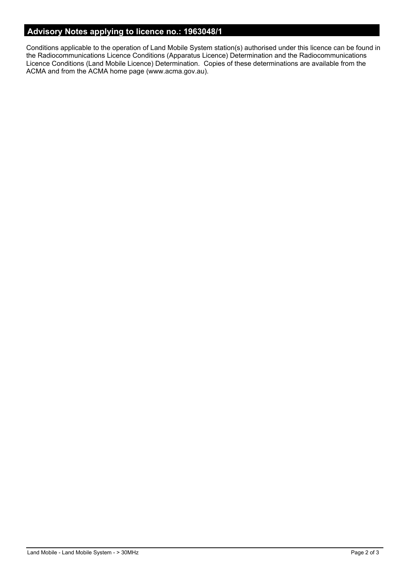## **Advisory Notes applying to licence no.: 1963048/1**

Conditions applicable to the operation of Land Mobile System station(s) authorised under this licence can be found in the Radiocommunications Licence Conditions (Apparatus Licence) Determination and the Radiocommunications Licence Conditions (Land Mobile Licence) Determination. Copies of these determinations are available from the ACMA and from the ACMA home page (www.acma.gov.au).